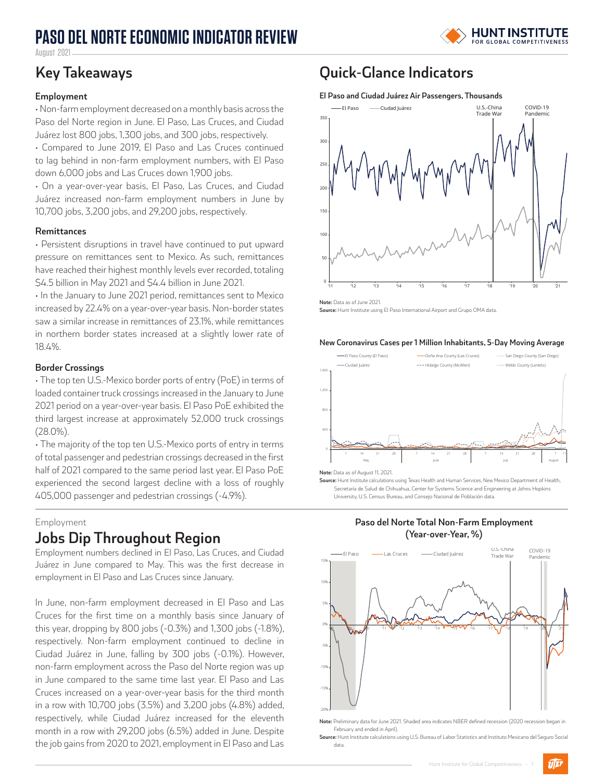# **PASO DEL NORTE ECONOMIC INDICATOR REVIEW**



August 2021

#### **Employment**

• Non-farm employment decreased on a monthly basis across the Paso del Norte region in June. El Paso, Las Cruces, and Ciudad Juárez lost 800 jobs, 1,300 jobs, and 300 jobs, respectively.

• Compared to June 2019, El Paso and Las Cruces continued to lag behind in non-farm employment numbers, with El Paso down 6,000 jobs and Las Cruces down 1,900 jobs.

• On a year-over-year basis, El Paso, Las Cruces, and Ciudad Juárez increased non-farm employment numbers in June by 10,700 jobs, 3,200 jobs, and 29,200 jobs, respectively.

#### **Remittances**

• Persistent disruptions in travel have continued to put upward pressure on remittances sent to Mexico. As such, remittances have reached their highest monthly levels ever recorded, totaling \$4.5 billion in May 2021 and \$4.4 billion in June 2021.

• In the January to June 2021 period, remittances sent to Mexico increased by 22.4% on a year-over-year basis. Non-border states saw a similar increase in remittances of 23.1%, while remittances in northern border states increased at a slightly lower rate of 18.4%.

#### **Border Crossings**

• The top ten U.S.-Mexico border ports of entry (PoE) in terms of loaded container truck crossings increased in the January to June 2021 period on a year-over-year basis. El Paso PoE exhibited the third largest increase at approximately 52,000 truck crossings (28.0%).

• The majority of the top ten U.S.-Mexico ports of entry in terms of total passenger and pedestrian crossings decreased in the first half of 2021 compared to the same period last year. El Paso PoE experienced the second largest decline with a loss of roughly 405,000 passenger and pedestrian crossings (-4.9%).

#### Employment

### **Jobs Dip Throughout Region**

Employment numbers declined in El Paso, Las Cruces, and Ciudad Juárez in June compared to May. This was the first decrease in employment in El Paso and Las Cruces since January.

In June, non-farm employment decreased in El Paso and Las Cruces for the first time on a monthly basis since January of this year, dropping by 800 jobs (-0.3%) and 1,300 jobs (-1.8%), respectively. Non-farm employment continued to decline in Ciudad Juárez in June, falling by 300 jobs (-0.1%). However, non-farm employment across the Paso del Norte region was up in June compared to the same time last year. El Paso and Las Cruces increased on a year-over-year basis for the third month in a row with 10,700 jobs (3.5%) and 3,200 jobs (4.8%) added, respectively, while Ciudad Juárez increased for the eleventh month in a row with 29,200 jobs (6.5%) added in June. Despite the job gains from 2020 to 2021, employment in El Paso and Las

## **Key Takeaways Quick-Glance Indicators**

#### **El Paso and Ciudad Juárez Air Passengers, Thousands**



**Note:** Data as of June 2021.

**Source:** Hunt Institute using El Paso International Airport and Grupo OMA data.

#### **New Coronavirus Cases per 1 Million Inhabitants, 5-Day Moving Average**



**Note:** Data as of August 11, 2021.

**Source:** Hunt Institute calculations using Texas Health and Human Services, New Mexico Department of Health Secretaría de Salud de Chihuahua, Center for Systems Science and Engineering at Johns Hopkins University, U.S. Census Bureau, and Consejo Nacional de Población data.

**Paso del Norte Total Non-Farm Employment** 



**Note:** Preliminary data for June 2021. Shaded area indicates NBER defined recession (2020 recession began in February and ended in April).

**Source:** Hunt Institute calculations using U.S. Bureau of Labor Statistics and Instituto Mexicano del Seguro Social data.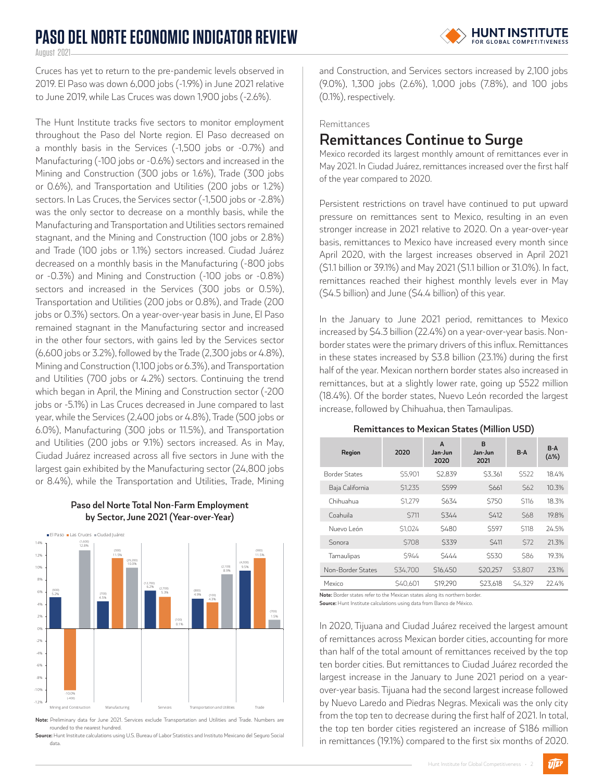# **PASO DEL NORTE ECONOMIC INDICATOR REVIEW**



August 2021

Cruces has yet to return to the pre-pandemic levels observed in 2019. El Paso was down 6,000 jobs (-1.9%) in June 2021 relative to June 2019, while Las Cruces was down 1,900 jobs (-2.6%).

The Hunt Institute tracks five sectors to monitor employment throughout the Paso del Norte region. El Paso decreased on a monthly basis in the Services (-1,500 jobs or -0.7%) and Manufacturing (-100 jobs or -0.6%) sectors and increased in the Mining and Construction (300 jobs or 1.6%), Trade (300 jobs or 0.6%), and Transportation and Utilities (200 jobs or 1.2%) sectors. In Las Cruces, the Services sector (-1,500 jobs or -2.8%) was the only sector to decrease on a monthly basis, while the Manufacturing and Transportation and Utilities sectors remained stagnant, and the Mining and Construction (100 jobs or 2.8%) and Trade (100 jobs or 1.1%) sectors increased. Ciudad Juárez decreased on a monthly basis in the Manufacturing (-800 jobs or -0.3%) and Mining and Construction (-100 jobs or -0.8%) sectors and increased in the Services (300 jobs or 0.5%), Transportation and Utilities (200 jobs or 0.8%), and Trade (200 jobs or 0.3%) sectors. On a year-over-year basis in June, El Paso remained stagnant in the Manufacturing sector and increased in the other four sectors, with gains led by the Services sector (6,600 jobs or 3.2%), followed by the Trade (2,300 jobs or 4.8%), Mining and Construction (1,100 jobs or 6.3%), and Transportation and Utilities (700 jobs or 4.2%) sectors. Continuing the trend which began in April, the Mining and Construction sector (-200 jobs or -5.1%) in Las Cruces decreased in June compared to last year, while the Services (2,400 jobs or 4.8%), Trade (500 jobs or 6.0%), Manufacturing (300 jobs or 11.5%), and Transportation and Utilities (200 jobs or 9.1%) sectors increased. As in May, Ciudad Juárez increased across all five sectors in June with the largest gain exhibited by the Manufacturing sector (24,800 jobs or 8.4%), while the Transportation and Utilities, Trade, Mining





**Note:** Preliminary data for June 2021. Services exclude Transportation and Utilities and Trade. Numbers are rounded to the nearest hundred.

Source: Hunt Institute calculations using U.S. Bureau of Labor Statistics and Instituto Mexicano del Seguro Social data.

and Construction, and Services sectors increased by 2,100 jobs (9.0%), 1,300 jobs (2.6%), 1,000 jobs (7.8%), and 100 jobs (0.1%), respectively.

Remittances

# **Remittances Continue to Surge**

Mexico recorded its largest monthly amount of remittances ever in May 2021. In Ciudad Juárez, remittances increased over the first half of the year compared to 2020.

Persistent restrictions on travel have continued to put upward pressure on remittances sent to Mexico, resulting in an even stronger increase in 2021 relative to 2020. On a year-over-year basis, remittances to Mexico have increased every month since April 2020, with the largest increases observed in April 2021 (\$1.1 billion or 39.1%) and May 2021 (\$1.1 billion or 31.0%). In fact, remittances reached their highest monthly levels ever in May (\$4.5 billion) and June (\$4.4 billion) of this year.

In the January to June 2021 period, remittances to Mexico increased by \$4.3 billion (22.4%) on a year-over-year basis. Nonborder states were the primary drivers of this influx. Remittances in these states increased by \$3.8 billion (23.1%) during the first half of the year. Mexican northern border states also increased in remittances, but at a slightly lower rate, going up \$522 million (18.4%). Of the border states, Nuevo León recorded the largest increase, followed by Chihuahua, then Tamaulipas.

**Remittances to Mexican States (Million USD)**

| Region               | 2020          | A<br>Jan-Jun<br>2020 | B<br>Jan-Jun<br>2021 | $B-A$            | $B-A$<br>$(\Delta\%)$ |
|----------------------|---------------|----------------------|----------------------|------------------|-----------------------|
| <b>Border States</b> | \$5,901       | \$2.839              | \$3.361              | <b>S522</b>      | 18.4%                 |
| Baja California      | \$1.235       | <b>S599</b>          | S661                 | S <sub>62</sub>  | 10.3%                 |
| Chihuahua            | <b>S1.279</b> | S634                 | <b>S750</b>          | S <sub>116</sub> | 18.3%                 |
| Coahuila             | S711          | S344                 | <b>S412</b>          | <b>S68</b>       | 19.8%                 |
| Nuevo León           | S1.024        | <b>S480</b>          | <b>S597</b>          | <b>S118</b>      | 24.5%                 |
| Sonora               | <b>S708</b>   | \$339                | <b>S411</b>          | \$72             | 21.3%                 |
| Tamaulipas           | S944          | S444                 | <b>S530</b>          | <b>\$86</b>      | 19.3%                 |
| Non-Border States    | \$34,700      | S16.450              | S20.257              | <b>\$3.807</b>   | 23.1%                 |
| Mexico               | S40.601       | S19.290              | \$23.618             | S4.329           | 22.4%                 |

**Note:** Border states refer to the Mexican states along its northern border.

**Source:** Hunt Institute calculations using data from Banco de México.

In 2020, Tijuana and Ciudad Juárez received the largest amount of remittances across Mexican border cities, accounting for more than half of the total amount of remittances received by the top ten border cities. But remittances to Ciudad Juárez recorded the largest increase in the January to June 2021 period on a yearover-year basis. Tijuana had the second largest increase followed by Nuevo Laredo and Piedras Negras. Mexicali was the only city from the top ten to decrease during the first half of 2021. In total, the top ten border cities registered an increase of \$186 million in remittances (19.1%) compared to the first six months of 2020.